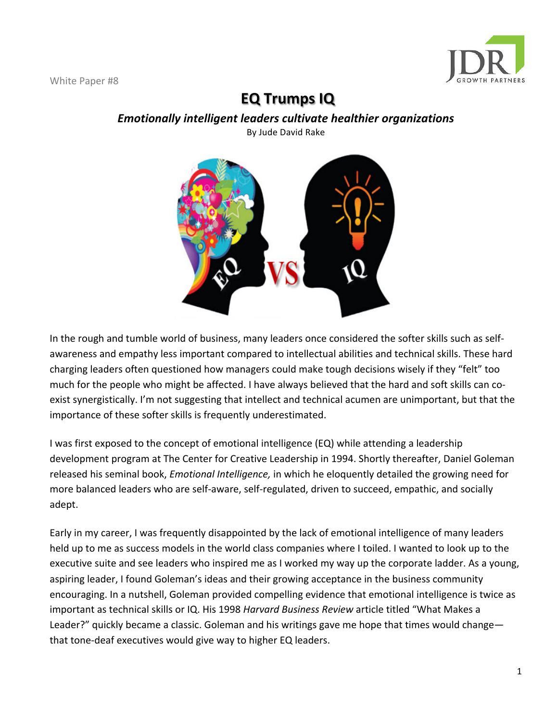

# **EQ Trumps IQ**

*Emotionally intelligent leaders cultivate healthier organizations* 

# By Jude David Rake



I was first exposed to the concept of emotional intelligence (EQ) while attending a leadership development program at The Center for Creative Leadership in 1994. Shortly thereafter, Daniel Goleman released his seminal book, *Emotional Intelligence*, in which he eloquently detailed the growing need for more balanced leaders who are self-aware, self-regulated, driven to succeed, empathic, and socially adept.

Early in my career, I was frequently disappointed by the lack of emotional intelligence of many leaders held up to me as success models in the world class companies where I toiled. I wanted to look up to the executive suite and see leaders who inspired me as I worked my way up the corporate ladder. As a young, aspiring leader, I found Goleman's ideas and their growing acceptance in the business community encouraging. In a nutshell, Goleman provided compelling evidence that emotional intelligence is twice as important as technical skills or IQ. His 1998 *Harvard Business Review* article titled "What Makes a Leader?" quickly became a classic. Goleman and his writings gave me hope that times would change that tone-deaf executives would give way to higher EQ leaders.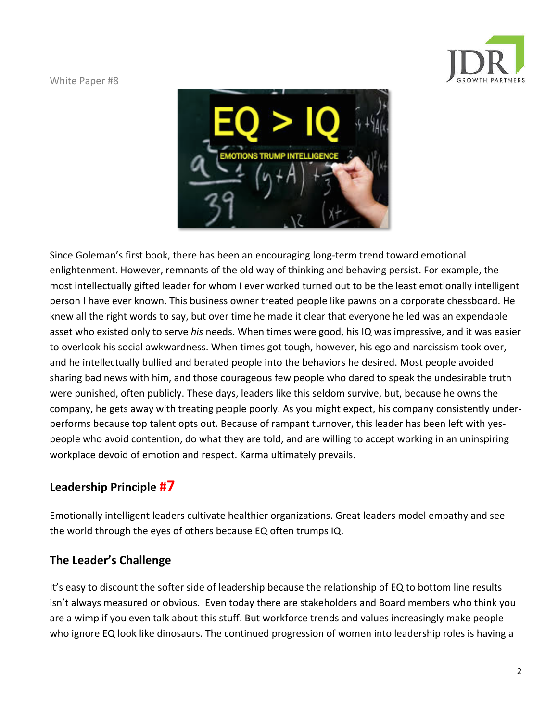



Since Goleman's first book, there has been an encouraging long-term trend toward emotional enlightenment. However, remnants of the old way of thinking and behaving persist. For example, the most intellectually gifted leader for whom I ever worked turned out to be the least emotionally intelligent person I have ever known. This business owner treated people like pawns on a corporate chessboard. He knew all the right words to say, but over time he made it clear that everyone he led was an expendable asset who existed only to serve *his* needs. When times were good, his IQ was impressive, and it was easier to overlook his social awkwardness. When times got tough, however, his ego and narcissism took over, and he intellectually bullied and berated people into the behaviors he desired. Most people avoided sharing bad news with him, and those courageous few people who dared to speak the undesirable truth were punished, often publicly. These days, leaders like this seldom survive, but, because he owns the company, he gets away with treating people poorly. As you might expect, his company consistently underperforms because top talent opts out. Because of rampant turnover, this leader has been left with yespeople who avoid contention, do what they are told, and are willing to accept working in an uninspiring workplace devoid of emotion and respect. Karma ultimately prevails.

# **Leadership Principle #7**

Emotionally intelligent leaders cultivate healthier organizations. Great leaders model empathy and see the world through the eyes of others because EQ often trumps IQ.

## **The Leader's Challenge**

It's easy to discount the softer side of leadership because the relationship of EQ to bottom line results isn't always measured or obvious. Even today there are stakeholders and Board members who think you are a wimp if you even talk about this stuff. But workforce trends and values increasingly make people who ignore EQ look like dinosaurs. The continued progression of women into leadership roles is having a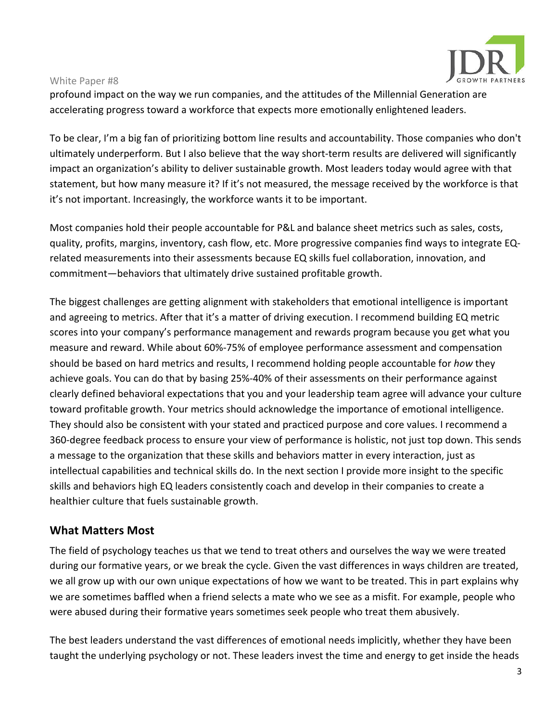

profound impact on the way we run companies, and the attitudes of the Millennial Generation are accelerating progress toward a workforce that expects more emotionally enlightened leaders.

To be clear, I'm a big fan of prioritizing bottom line results and accountability. Those companies who don't ultimately underperform. But I also believe that the way short-term results are delivered will significantly impact an organization's ability to deliver sustainable growth. Most leaders today would agree with that statement, but how many measure it? If it's not measured, the message received by the workforce is that it's not important. Increasingly, the workforce wants it to be important.

Most companies hold their people accountable for P&L and balance sheet metrics such as sales, costs, quality, profits, margins, inventory, cash flow, etc. More progressive companies find ways to integrate EQrelated measurements into their assessments because EQ skills fuel collaboration, innovation, and commitment-behaviors that ultimately drive sustained profitable growth.

The biggest challenges are getting alignment with stakeholders that emotional intelligence is important and agreeing to metrics. After that it's a matter of driving execution. I recommend building EQ metric scores into your company's performance management and rewards program because you get what you measure and reward. While about 60%-75% of employee performance assessment and compensation should be based on hard metrics and results, I recommend holding people accountable for *how* they achieve goals. You can do that by basing 25%-40% of their assessments on their performance against clearly defined behavioral expectations that you and your leadership team agree will advance your culture toward profitable growth. Your metrics should acknowledge the importance of emotional intelligence. They should also be consistent with your stated and practiced purpose and core values. I recommend a 360-degree feedback process to ensure your view of performance is holistic, not just top down. This sends a message to the organization that these skills and behaviors matter in every interaction, just as intellectual capabilities and technical skills do. In the next section I provide more insight to the specific skills and behaviors high EQ leaders consistently coach and develop in their companies to create a healthier culture that fuels sustainable growth.

### **What Matters Most**

The field of psychology teaches us that we tend to treat others and ourselves the way we were treated during our formative years, or we break the cycle. Given the vast differences in ways children are treated, we all grow up with our own unique expectations of how we want to be treated. This in part explains why we are sometimes baffled when a friend selects a mate who we see as a misfit. For example, people who were abused during their formative years sometimes seek people who treat them abusively.

The best leaders understand the vast differences of emotional needs implicitly, whether they have been taught the underlying psychology or not. These leaders invest the time and energy to get inside the heads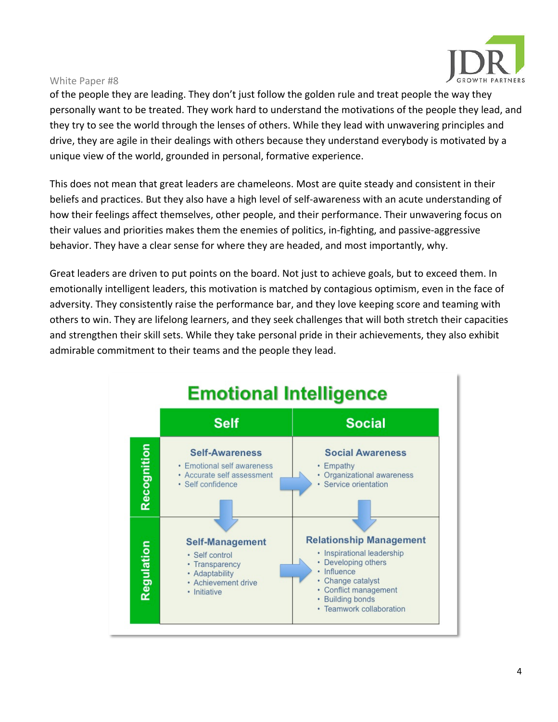

of the people they are leading. They don't just follow the golden rule and treat people the way they personally want to be treated. They work hard to understand the motivations of the people they lead, and they try to see the world through the lenses of others. While they lead with unwavering principles and drive, they are agile in their dealings with others because they understand everybody is motivated by a unique view of the world, grounded in personal, formative experience.

This does not mean that great leaders are chameleons. Most are quite steady and consistent in their beliefs and practices. But they also have a high level of self-awareness with an acute understanding of how their feelings affect themselves, other people, and their performance. Their unwavering focus on their values and priorities makes them the enemies of politics, in-fighting, and passive-aggressive behavior. They have a clear sense for where they are headed, and most importantly, why.

Great leaders are driven to put points on the board. Not just to achieve goals, but to exceed them. In emotionally intelligent leaders, this motivation is matched by contagious optimism, even in the face of adversity. They consistently raise the performance bar, and they love keeping score and teaming with others to win. They are lifelong learners, and they seek challenges that will both stretch their capacities and strengthen their skill sets. While they take personal pride in their achievements, they also exhibit admirable commitment to their teams and the people they lead.

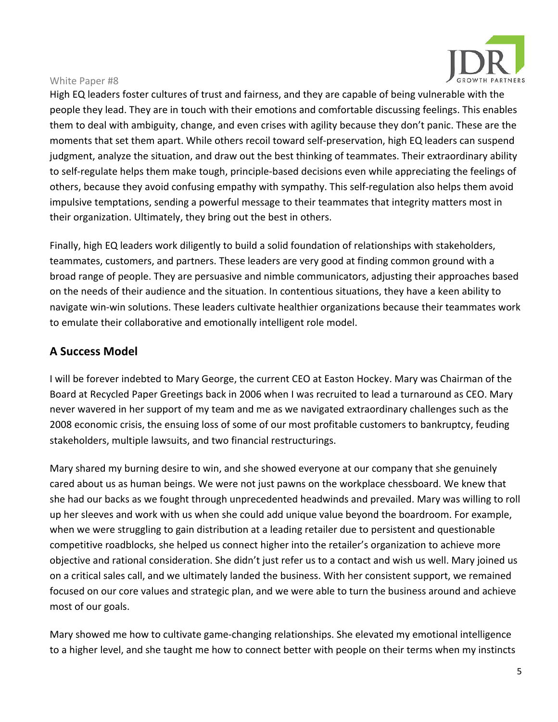

High EQ leaders foster cultures of trust and fairness, and they are capable of being vulnerable with the people they lead. They are in touch with their emotions and comfortable discussing feelings. This enables them to deal with ambiguity, change, and even crises with agility because they don't panic. These are the moments that set them apart. While others recoil toward self-preservation, high EQ leaders can suspend judgment, analyze the situation, and draw out the best thinking of teammates. Their extraordinary ability to self-regulate helps them make tough, principle-based decisions even while appreciating the feelings of others, because they avoid confusing empathy with sympathy. This self-regulation also helps them avoid impulsive temptations, sending a powerful message to their teammates that integrity matters most in their organization. Ultimately, they bring out the best in others.

Finally, high EQ leaders work diligently to build a solid foundation of relationships with stakeholders, teammates, customers, and partners. These leaders are very good at finding common ground with a broad range of people. They are persuasive and nimble communicators, adjusting their approaches based on the needs of their audience and the situation. In contentious situations, they have a keen ability to navigate win-win solutions. These leaders cultivate healthier organizations because their teammates work to emulate their collaborative and emotionally intelligent role model.

### **A Success Model**

I will be forever indebted to Mary George, the current CEO at Easton Hockey. Mary was Chairman of the Board at Recycled Paper Greetings back in 2006 when I was recruited to lead a turnaround as CEO. Mary never wavered in her support of my team and me as we navigated extraordinary challenges such as the 2008 economic crisis, the ensuing loss of some of our most profitable customers to bankruptcy, feuding stakeholders, multiple lawsuits, and two financial restructurings.

Mary shared my burning desire to win, and she showed everyone at our company that she genuinely cared about us as human beings. We were not just pawns on the workplace chessboard. We knew that she had our backs as we fought through unprecedented headwinds and prevailed. Mary was willing to roll up her sleeves and work with us when she could add unique value beyond the boardroom. For example, when we were struggling to gain distribution at a leading retailer due to persistent and questionable competitive roadblocks, she helped us connect higher into the retailer's organization to achieve more objective and rational consideration. She didn't just refer us to a contact and wish us well. Mary joined us on a critical sales call, and we ultimately landed the business. With her consistent support, we remained focused on our core values and strategic plan, and we were able to turn the business around and achieve most of our goals.

Mary showed me how to cultivate game-changing relationships. She elevated my emotional intelligence to a higher level, and she taught me how to connect better with people on their terms when my instincts